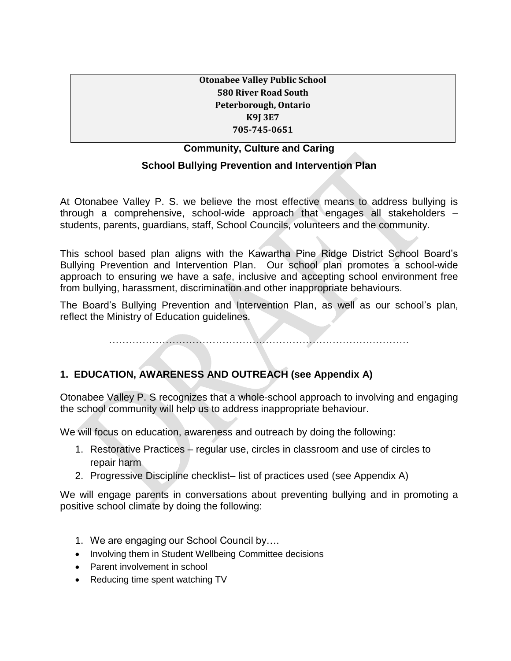#### **Otonabee Valley Public School 580 River Road South Peterborough, Ontario K9J 3E7 705-745-0651**

### **Community, Culture and Caring**

#### **School Bullying Prevention and Intervention Plan**

At Otonabee Valley P. S. we believe the most effective means to address bullying is through a comprehensive, school-wide approach that engages all stakeholders – students, parents, guardians, staff, School Councils, volunteers and the community.

This school based plan aligns with the Kawartha Pine Ridge District School Board's Bullying Prevention and Intervention Plan. Our school plan promotes a school-wide approach to ensuring we have a safe, inclusive and accepting school environment free from bullying, harassment, discrimination and other inappropriate behaviours.

The Board's Bullying Prevention and Intervention Plan, as well as our school's plan, reflect the Ministry of Education guidelines.

………………………………………………………………………………

#### **1. EDUCATION, AWARENESS AND OUTREACH (see Appendix A)**

Otonabee Valley P. S recognizes that a whole-school approach to involving and engaging the school community will help us to address inappropriate behaviour.

We will focus on education, awareness and outreach by doing the following:

- 1. Restorative Practices regular use, circles in classroom and use of circles to repair harm
- 2. Progressive Discipline checklist– list of practices used (see Appendix A)

We will engage parents in conversations about preventing bullying and in promoting a positive school climate by doing the following:

- 1. We are engaging our School Council by….
- Involving them in Student Wellbeing Committee decisions
- Parent involvement in school
- Reducing time spent watching TV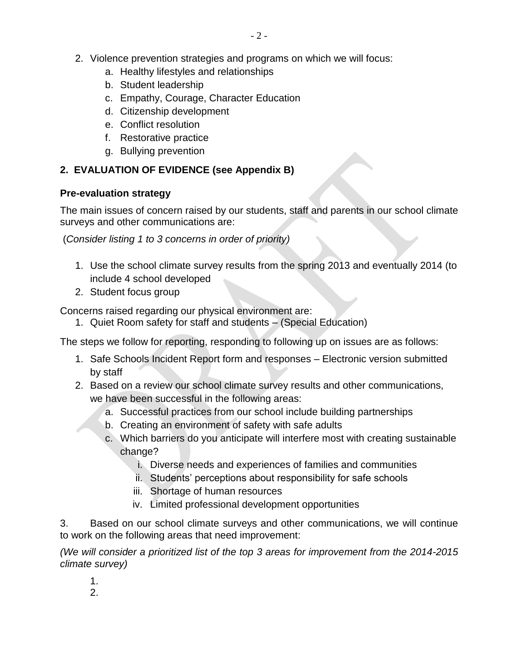- 2. Violence prevention strategies and programs on which we will focus:
	- a. Healthy lifestyles and relationships
	- b. Student leadership
	- c. Empathy, Courage, Character Education
	- d. Citizenship development
	- e. Conflict resolution
	- f. Restorative practice
	- g. Bullying prevention

## **2. EVALUATION OF EVIDENCE (see Appendix B)**

#### **Pre-evaluation strategy**

The main issues of concern raised by our students, staff and parents in our school climate surveys and other communications are:

(*Consider listing 1 to 3 concerns in order of priority)*

- 1. Use the school climate survey results from the spring 2013 and eventually 2014 (to include 4 school developed
- 2. Student focus group

Concerns raised regarding our physical environment are:

1. Quiet Room safety for staff and students – (Special Education)

The steps we follow for reporting, responding to following up on issues are as follows:

- 1. Safe Schools Incident Report form and responses Electronic version submitted by staff
- 2. Based on a review our school climate survey results and other communications, we have been successful in the following areas:
	- a. Successful practices from our school include building partnerships
	- b. Creating an environment of safety with safe adults
	- c. Which barriers do you anticipate will interfere most with creating sustainable change?
		- i. Diverse needs and experiences of families and communities
		- ii. Students' perceptions about responsibility for safe schools
		- iii. Shortage of human resources
		- iv. Limited professional development opportunities

3. Based on our school climate surveys and other communications, we will continue to work on the following areas that need improvement:

*(We will consider a prioritized list of the top 3 areas for improvement from the 2014-2015 climate survey)*

1.

2.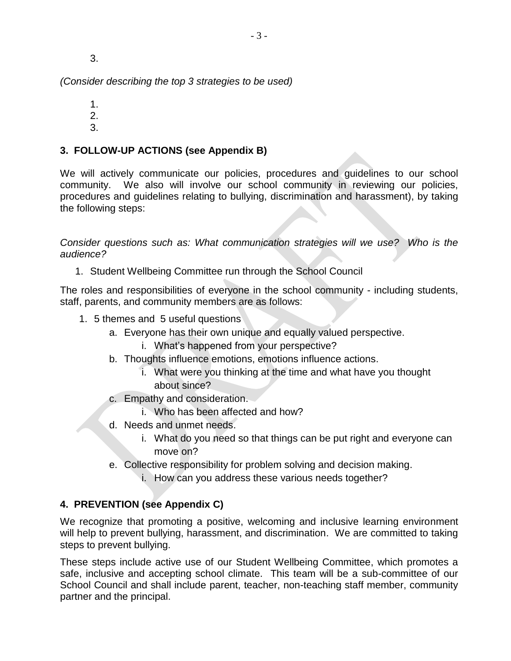3.

*(Consider describing the top 3 strategies to be used)*

1.

2.

3.

### **3. FOLLOW-UP ACTIONS (see Appendix B)**

We will actively communicate our policies, procedures and guidelines to our school community. We also will involve our school community in reviewing our policies, procedures and guidelines relating to bullying, discrimination and harassment), by taking the following steps:

*Consider questions such as: What communication strategies will we use? Who is the audience?*

1. Student Wellbeing Committee run through the School Council

The roles and responsibilities of everyone in the school community - including students, staff, parents, and community members are as follows:

- 1. 5 themes and 5 useful questions
	- a. Everyone has their own unique and equally valued perspective.
		- i. What's happened from your perspective?
	- b. Thoughts influence emotions, emotions influence actions.
		- i. What were you thinking at the time and what have you thought about since?
	- c. Empathy and consideration.
		- i. Who has been affected and how?
	- d. Needs and unmet needs.
		- i. What do you need so that things can be put right and everyone can move on?
	- e. Collective responsibility for problem solving and decision making.
		- i. How can you address these various needs together?

#### **4. PREVENTION (see Appendix C)**

We recognize that promoting a positive, welcoming and inclusive learning environment will help to prevent bullying, harassment, and discrimination. We are committed to taking steps to prevent bullying.

These steps include active use of our Student Wellbeing Committee, which promotes a safe, inclusive and accepting school climate. This team will be a sub-committee of our School Council and shall include parent, teacher, non-teaching staff member, community partner and the principal.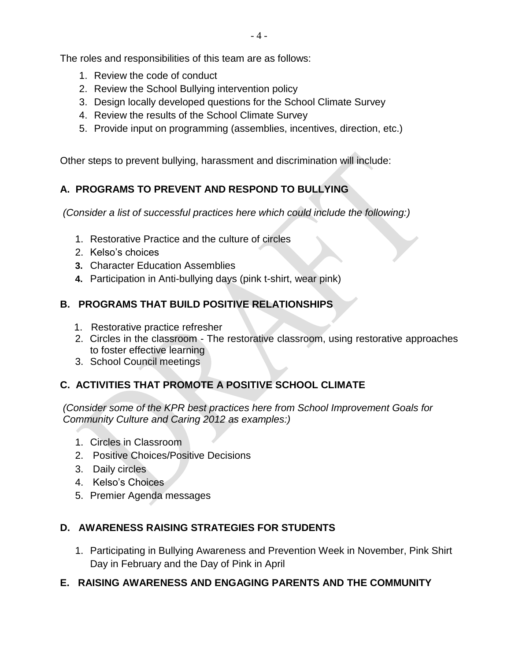The roles and responsibilities of this team are as follows:

- 1. Review the code of conduct
- 2. Review the School Bullying intervention policy
- 3. Design locally developed questions for the School Climate Survey
- 4. Review the results of the School Climate Survey
- 5. Provide input on programming (assemblies, incentives, direction, etc.)

Other steps to prevent bullying, harassment and discrimination will include:

# **A. PROGRAMS TO PREVENT AND RESPOND TO BULLYING**

*(Consider a list of successful practices here which could include the following:)*

- 1. Restorative Practice and the culture of circles
- 2. Kelso's choices
- **3.** Character Education Assemblies
- **4.** Participation in Anti-bullying days (pink t-shirt, wear pink)

## **B. PROGRAMS THAT BUILD POSITIVE RELATIONSHIPS**

- 1. Restorative practice refresher
- 2. Circles in the classroom The restorative classroom, using restorative approaches to foster effective learning
- 3. School Council meetings

# **C. ACTIVITIES THAT PROMOTE A POSITIVE SCHOOL CLIMATE**

*(Consider some of the KPR best practices here from School Improvement Goals for Community Culture and Caring 2012 as examples:)*

- 1. Circles in Classroom
- 2. Positive Choices/Positive Decisions
- 3. Daily circles
- 4. Kelso's Choices
- 5. Premier Agenda messages

## **D. AWARENESS RAISING STRATEGIES FOR STUDENTS**

1. Participating in Bullying Awareness and Prevention Week in November, Pink Shirt Day in February and the Day of Pink in April

## **E. RAISING AWARENESS AND ENGAGING PARENTS AND THE COMMUNITY**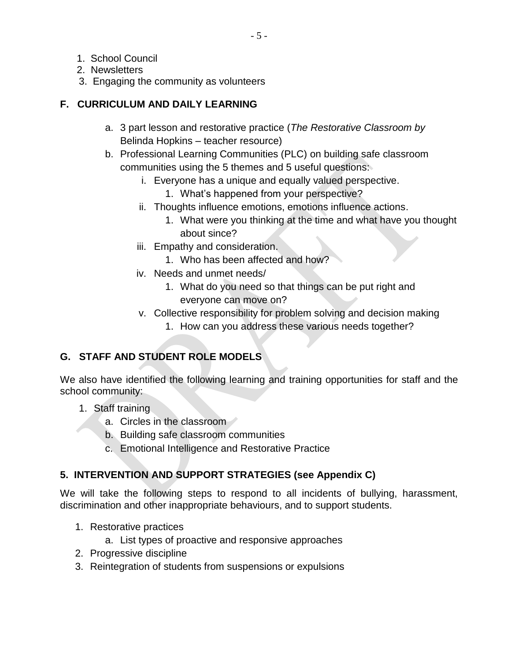- 1. School Council
- 2. Newsletters
- 3. Engaging the community as volunteers

#### **F. CURRICULUM AND DAILY LEARNING**

- a. 3 part lesson and restorative practice (*The Restorative Classroom by* Belinda Hopkins – teacher resource)
- b. Professional Learning Communities (PLC) on building safe classroom communities using the 5 themes and 5 useful questions:
	- i. Everyone has a unique and equally valued perspective.
		- 1. What's happened from your perspective?
	- ii. Thoughts influence emotions, emotions influence actions.
		- 1. What were you thinking at the time and what have you thought about since?
	- iii. Empathy and consideration.
		- 1. Who has been affected and how?
	- iv. Needs and unmet needs/
		- 1. What do you need so that things can be put right and everyone can move on?
	- v. Collective responsibility for problem solving and decision making
		- 1. How can you address these various needs together?

# **G. STAFF AND STUDENT ROLE MODELS**

We also have identified the following learning and training opportunities for staff and the school community:

- 1. Staff training
	- a. Circles in the classroom
	- b. Building safe classroom communities
	- c. Emotional Intelligence and Restorative Practice

## **5. INTERVENTION AND SUPPORT STRATEGIES (see Appendix C)**

We will take the following steps to respond to all incidents of bullying, harassment, discrimination and other inappropriate behaviours, and to support students.

- 1. Restorative practices
	- a. List types of proactive and responsive approaches
- 2. Progressive discipline
- 3. Reintegration of students from suspensions or expulsions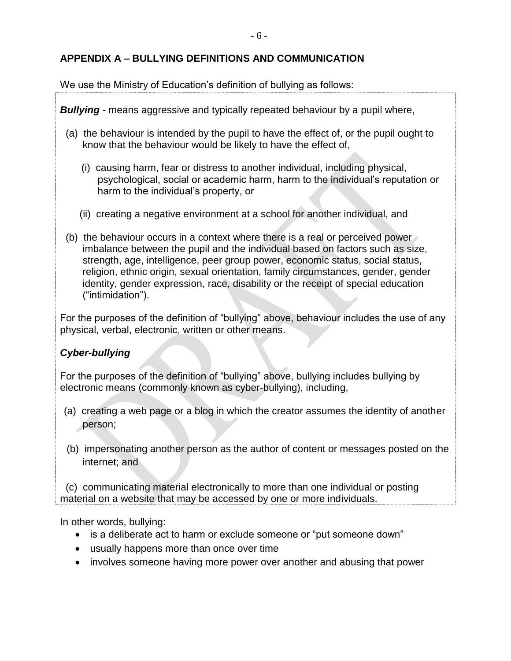## **APPENDIX A – BULLYING DEFINITIONS AND COMMUNICATION**

We use the Ministry of Education's definition of bullying as follows:

*Bullying -* means aggressive and typically repeated behaviour by a pupil where,

- (a) the behaviour is intended by the pupil to have the effect of, or the pupil ought to know that the behaviour would be likely to have the effect of,
	- (i) causing harm, fear or distress to another individual, including physical, psychological, social or academic harm, harm to the individual's reputation or harm to the individual's property, or
	- (ii) creating a negative environment at a school for another individual, and
- (b) the behaviour occurs in a context where there is a real or perceived power imbalance between the pupil and the individual based on factors such as size, strength, age, intelligence, peer group power, economic status, social status, religion, ethnic origin, sexual orientation, family circumstances, gender, gender identity, gender expression, race, disability or the receipt of special education ("intimidation").

For the purposes of the definition of "bullying" above, behaviour includes the use of any physical, verbal, electronic, written or other means.

## *Cyber-bullying*

For the purposes of the definition of "bullying" above, bullying includes bullying by electronic means (commonly known as cyber-bullying), including,

- (a) creating a web page or a blog in which the creator assumes the identity of another person;
- (b) impersonating another person as the author of content or messages posted on the internet; and

 (c) communicating material electronically to more than one individual or posting material on a website that may be accessed by one or more individuals.

In other words, bullying:

- is a deliberate act to harm or exclude someone or "put someone down"
- usually happens more than once over time
- involves someone having more power over another and abusing that power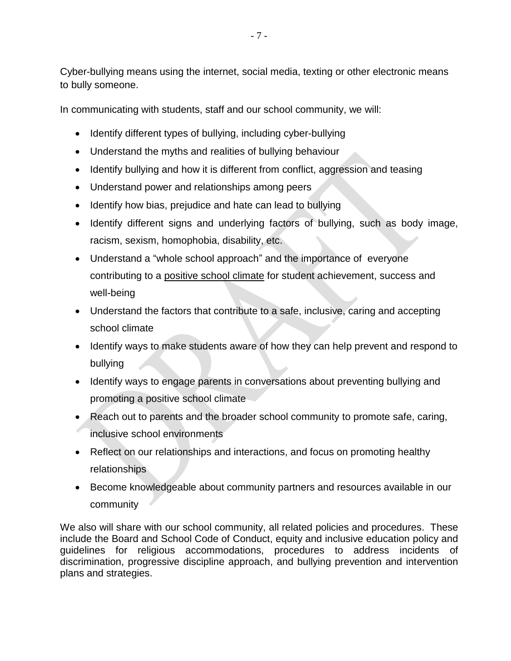Cyber-bullying means using the internet, social media, texting or other electronic means to bully someone.

In communicating with students, staff and our school community, we will:

- Identify different types of bullying, including cyber-bullying
- Understand the myths and realities of bullying behaviour
- Identify bullying and how it is different from conflict, aggression and teasing
- Understand power and relationships among peers
- Identify how bias, prejudice and hate can lead to bullying
- Identify different signs and underlying factors of bullying, such as body image, racism, sexism, homophobia, disability, etc.
- Understand a "whole school approach" and the importance of everyone contributing to a positive school climate for student achievement, success and well-being
- Understand the factors that contribute to a safe, inclusive, caring and accepting school climate
- Identify ways to make students aware of how they can help prevent and respond to bullying
- Identify ways to engage parents in conversations about preventing bullying and promoting a positive school climate
- Reach out to parents and the broader school community to promote safe, caring, inclusive school environments
- Reflect on our relationships and interactions, and focus on promoting healthy relationships
- Become knowledgeable about community partners and resources available in our community

We also will share with our school community, all related policies and procedures. These include the Board and School Code of Conduct, equity and inclusive education policy and guidelines for religious accommodations, procedures to address incidents of discrimination, progressive discipline approach, and bullying prevention and intervention plans and strategies.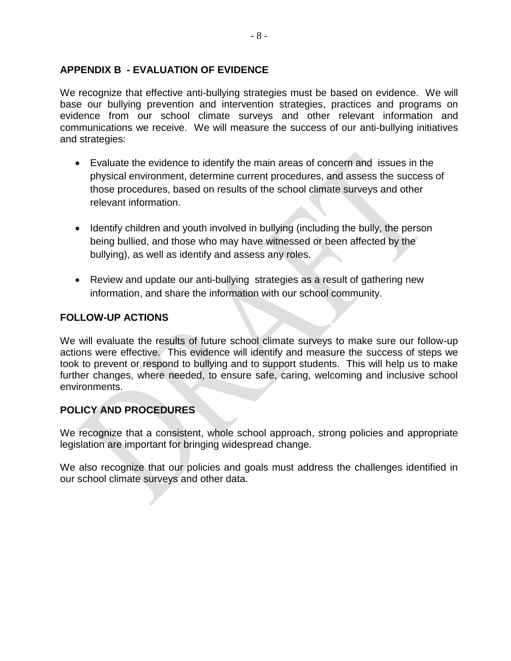#### **APPENDIX B - EVALUATION OF EVIDENCE**

We recognize that effective anti-bullying strategies must be based on evidence. We will base our bullying prevention and intervention strategies, practices and programs on evidence from our school climate surveys and other relevant information and communications we receive. We will measure the success of our anti-bullying initiatives and strategies:

- Evaluate the evidence to identify the main areas of concern and issues in the physical environment, determine current procedures, and assess the success of those procedures, based on results of the school climate surveys and other relevant information.
- Identify children and youth involved in bullying (including the bully, the person being bullied, and those who may have witnessed or been affected by the bullying), as well as identify and assess any roles.
- Review and update our anti-bullying strategies as a result of gathering new information, and share the information with our school community.

#### **FOLLOW-UP ACTIONS**

We will evaluate the results of future school climate surveys to make sure our follow-up actions were effective. This evidence will identify and measure the success of steps we took to prevent or respond to bullying and to support students. This will help us to make further changes, where needed, to ensure safe, caring, welcoming and inclusive school environments.

#### **POLICY AND PROCEDURES**

We recognize that a consistent, whole school approach, strong policies and appropriate legislation are important for bringing widespread change.

We also recognize that our policies and goals must address the challenges identified in our school climate surveys and other data.